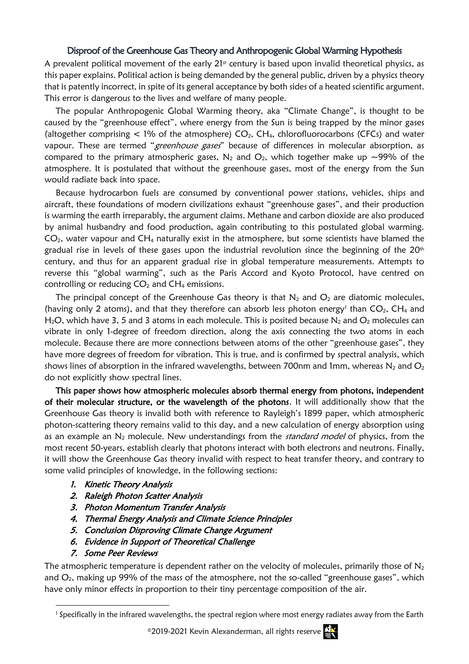## Disproof of the Greenhouse Gas Theory and Anthropogenic Global Warming Hypothesis

A prevalent political movement of the early  $21<sup>st</sup>$  century is based upon invalid theoretical physics, as this paper explains. Political action is being demanded by the general public, driven by a physics theory that is patently incorrect, in spite of its general acceptance by both sides of a heated scientific argument. This error is dangerous to the lives and welfare of many people.

The popular Anthropogenic Global Warming theory, aka "Climate Change", is thought to be caused by the "greenhouse effect", where energy from the Sun is being trapped by the minor gases (altogether comprising  $\lt 1\%$  of the atmosphere)  $CO<sub>2</sub>$ , CH<sub>4</sub>, chlorofluorocarbons (CFCs) and water vapour. These are termed "greenhouse gases" because of differences in molecular absorption, as compared to the primary atmospheric gases,  $N_2$  and  $O_2$ , which together make up ~99% of the atmosphere. It is postulated that without the greenhouse gases, most of the energy from the Sun would radiate back into space.

Because hydrocarbon fuels are consumed by conventional power stations, vehicles, ships and aircraft, these foundations of modern civilizations exhaust "greenhouse gases", and their production is warming the earth irreparably, the argument claims. Methane and carbon dioxide are also produced by animal husbandry and food production, again contributing to this postulated global warming.  $CO<sub>2</sub>$ , water vapour and  $CH<sub>4</sub>$  naturally exist in the atmosphere, but some scientists have blamed the gradual rise in levels of these gases upon the industrial revolution since the beginning of the  $20<sup>th</sup>$ century, and thus for an apparent gradual rise in global temperature measurements. Attempts to reverse this "global warming", such as the Paris Accord and Kyoto Protocol, have centred on controlling or reducing  $CO<sub>2</sub>$  and  $CH<sub>4</sub>$  emissions.

The principal concept of the Greenhouse Gas theory is that  $N_2$  and  $O_2$  are diatomic molecules, (having only 2 atoms), and that they therefore can absorb less photon energy<sup>1</sup> than  $CO<sub>2</sub>$ , CH<sub>4</sub> and H<sub>2</sub>O, which have 3, 5 and 3 atoms in each molecule. This is posited because N<sub>2</sub> and O<sub>2</sub> molecules can vibrate in only 1-degree of freedom direction, along the axis connecting the two atoms in each molecule. Because there are more connections between atoms of the other "greenhouse gases", they have more degrees of freedom for vibration. This is true, and is confirmed by spectral analysis, which shows lines of absorption in the infrared wavelengths, between 700nm and 1mm, whereas  $N_2$  and  $O_2$ do not explicitly show spectral lines.

This paper shows how atmospheric molecules absorb thermal energy from photons, independent of their molecular structure, or the wavelength of the photons. It will additionally show that the Greenhouse Gas theory is invalid both with reference to Rayleigh's 1899 paper, which atmospheric photon-scattering theory remains valid to this day, and a new calculation of energy absorption using as an example an  $N_2$  molecule. New understandings from the *standard model* of physics, from the most recent 50-years, establish clearly that photons interact with both electrons and neutrons. Finally, it will show the Greenhouse Gas theory invalid with respect to heat transfer theory, and contrary to some valid principles of knowledge, in the following sections:

- 1. Kinetic Theory Analysis
- 2. Raleigh Photon Scatter Analysis
- 3. Photon Momentum Transfer Analysis
- 4. Thermal Energy Analysis and Climate Science Principles
- 5. Conclusion Disproving Climate Change Argument
- 6. Evidence in Support of Theoretical Challenge
- 7. Some Peer Reviews

The atmospheric temperature is dependent rather on the velocity of molecules, primarily those of  $N_2$ and  $O<sub>2</sub>$ , making up 99% of the mass of the atmosphere, not the so-called "greenhouse gases", which have only minor effects in proportion to their tiny percentage composition of the air.

©2019-2021 Kevin Alexanderman, all rights reserve  $\mathbf{E}$ 

<sup>1</sup> Specifically in the infrared wavelengths, the spectral region where most energy radiates away from the Earth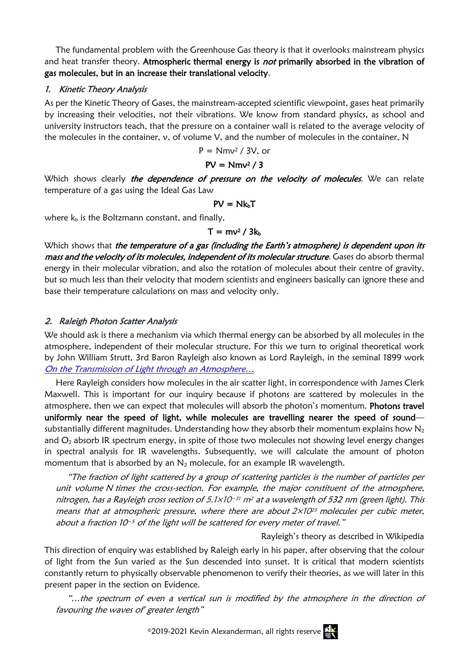The fundamental problem with the Greenhouse Gas theory is that it overlooks mainstream physics and heat transfer theory. Atmospheric thermal energy is not primarily absorbed in the vibration of gas molecules, but in an increase their translational velocity.

## 1. Kinetic Theory Analysis

As per the Kinetic Theory of Gases, the mainstream-accepted scientific viewpoint, gases heat primarily by increasing their velocities, not their vibrations. We know from standard physics, as school and university instructors teach, that the pressure on a container wall is related to the average velocity of the molecules in the container,  $v$ , of volume V, and the number of molecules in the container, N

 $P = Nmv^2 / 3V$ , or

### $PV = Nmv^2 / 3$

Which shows clearly the dependence of pressure on the velocity of molecules. We can relate temperature of a gas using the Ideal Gas Law

$$
PV = Nk_bT
$$

where  $k_b$  is the Boltzmann constant, and finally,

#### $T = mv^2 / 3k_b$

Which shows that the temperature of a gas (including the Earth's atmosphere) is dependent upon its mass and the velocity of its molecules, independent of its molecular structure. Gases do absorb thermal energy in their molecular vibration, and also the rotation of molecules about their centre of gravity, but so much less than their velocity that modern scientists and engineers basically can ignore these and base their temperature calculations on mass and velocity only.

# 2. Raleigh Photon Scatter Analysis

We should ask is there a mechanism via which thermal energy can be absorbed by all molecules in the atmosphere, independent of their molecular structure. For this we turn to original theoretical work by John William Strutt, 3rd Baron Rayleigh also known as Lord Rayleigh, in the seminal 1899 work [On the Transmission of Light through an Atmosphere…](https://zenodo.org/record/1431249)

Here Rayleigh considers how molecules in the air scatter light, in correspondence with James Clerk Maxwell. This is important for our inquiry because if photons are scattered by molecules in the atmosphere, then we can expect that molecules will absorb the photon's momentum. Photons travel uniformly near the speed of light, while molecules are travelling nearer the speed of sound substantially different magnitudes. Understanding how they absorb their momentum explains how  $N_2$ and  $O<sub>2</sub>$  absorb IR spectrum energy, in spite of those two molecules not showing level energy changes in spectral analysis for IR wavelengths. Subsequently, we will calculate the amount of photon momentum that is absorbed by an  $N_2$  molecule, for an example IR wavelength.

"The fraction of light scattered by a group of scattering particles is the number of particles per unit volume N times the cross-section. For example, the major constituent of the atmosphere, nitrogen, has a Rayleigh cross section of 5.1×10<sup>-31</sup> m<sup>2</sup> at a wavelength of 532 nm (green light). This means that at atmospheric pressure, where there are about  $2\times10^{25}$  molecules per cubic meter, about a fraction 10−<sup>5</sup> of the light will be scattered for every meter of travel."

Rayleigh's theory as described in Wikipedia

This direction of enquiry was established by Raleigh early in his paper, after observing that the colour of light from the Sun varied as the Sun descended into sunset. It is critical that modern scientists constantly return to physically observable phenomenon to verify their theories, as we will later in this present paper in the section on Evidence.

"…the spectrum of even a vertical sun is modified by the atmosphere in the direction of favouring the waves of greater length"

©2019-2021 Kevin Alexanderman, all rights reserve  $\frac{dN}{d}$ 

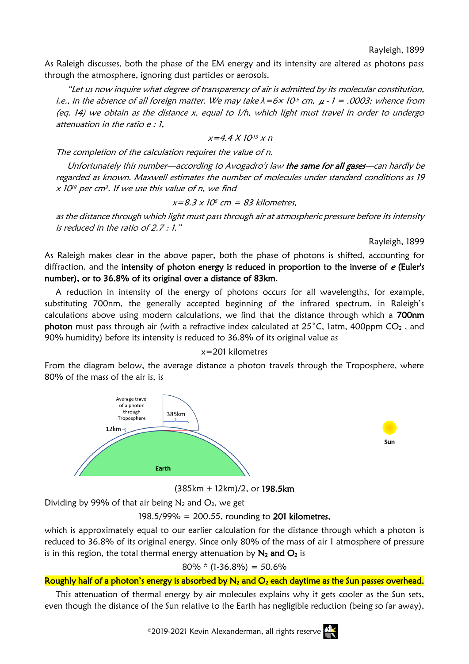Rayleigh, 1899

As Raleigh discusses, both the phase of the EM energy and its intensity are altered as photons pass through the atmosphere, ignoring dust particles or aerosols.

"Let us now inquire what degree of transparency of air is admitted by its molecular constitution, i.e., in the absence of all foreign matter. We may take  $\lambda = 6 \times 10^5$  cm,  $\mu$  - 1 = .0003; whence from (eq. 14) we obtain as the distance  $x$ , equal to  $1/h$ , which light must travel in order to undergo attenuation in the ratio e : 1,

$$
x=4.4 X 10^{13} x n
$$

The completion of the calculation requires the value of n.

Unfortunately this number—according to Avogadro's law the same for all gases—can hardly be regarded as known. Maxwell estimates the number of molecules under standard conditions as 19  $\mathrm{\mathsf{x}}$  10 $^{\textrm{\tiny IB}}$  per cm $^{\textrm{\tiny 3}}.$  If we use this value of n, we find

$$
x=8.3 \times 10^6
$$
 cm = 83 kilometers,

as the distance through which light must pass through air at atmospheric pressure before its intensity is reduced in the ratio of 2.7 : 1."

Rayleigh, 1899

As Raleigh makes clear in the above paper, both the phase of photons is shifted, accounting for diffraction, and the intensity of photon energy is reduced in proportion to the inverse of  $e$  (Euler's number), or to 36.8% of its original over a distance of 83km.

A reduction in intensity of the energy of photons occurs for all wavelengths, for example, substituting 700nm, the generally accepted beginning of the infrared spectrum, in Raleigh's calculations above using modern calculations, we find that the distance through which a 700nm photon must pass through air (with a refractive index calculated at  $25^{\circ}$ C, 1atm, 400ppm CO<sub>2</sub>, and 90% humidity) before its intensity is reduced to 36.8% of its original value as

#### x=201 kilometres

From the diagram below, the average distance a photon travels through the Troposphere, where 80% of the mass of the air is, is



(385km + 12km)/2, or 198.5km

Dividing by 99% of that air being  $N_2$  and  $O_2$ , we get

198.5/99% = 200.55, rounding to 201 kilometres,

which is approximately equal to our earlier calculation for the distance through which a photon is reduced to 36.8% of its original energy. Since only 80% of the mass of air 1 atmosphere of pressure is in this region, the total thermal energy attenuation by  $N_2$  and  $O_2$  is

 $80\%$  \* (1-36.8%) = 50.6%

#### Roughly half of a photon's energy is absorbed by  $N_2$  and  $O_2$  each daytime as the Sun passes overhead.

This attenuation of thermal energy by air molecules explains why it gets cooler as the Sun sets, even though the distance of the Sun relative to the Earth has negligible reduction (being so far away),

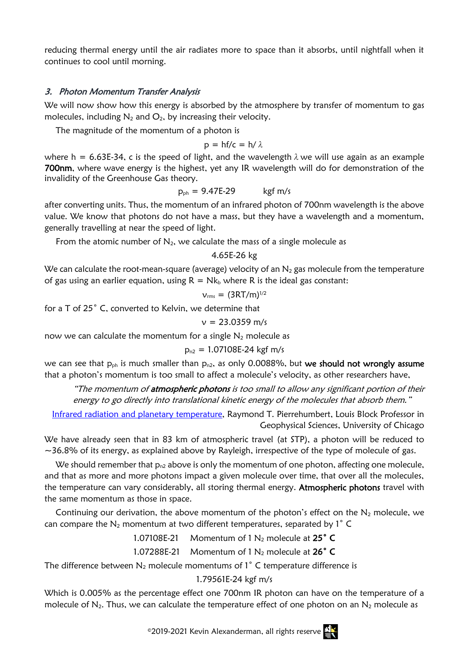reducing thermal energy until the air radiates more to space than it absorbs, until nightfall when it continues to cool until morning.

### 3. Photon Momentum Transfer Analysis

We will now show how this energy is absorbed by the atmosphere by transfer of momentum to gas molecules, including  $N_2$  and  $O_2$ , by increasing their velocity.

The magnitude of the momentum of a photon is

$$
p = hf/c = h/\lambda
$$

where h = 6.63E-34, c is the speed of light, and the wavelength  $\lambda$  we will use again as an example 700nm, where wave energy is the highest, yet any IR wavelength will do for demonstration of the invalidity of the Greenhouse Gas theory.

$$
p_{ph} = 9.47E-29 \qquad \text{kgf m/s}
$$

after converting units. Thus, the momentum of an infrared photon of 700nm wavelength is the above value. We know that photons do not have a mass, but they have a wavelength and a momentum, generally travelling at near the speed of light.

From the atomic number of  $N_2$ , we calculate the mass of a single molecule as

#### 4.65E-26 kg

We can calculate the root-mean-square (average) velocity of an  $N_2$  gas molecule from the temperature of gas using an earlier equation, using  $R = Nk_b$  where R is the ideal gas constant:

$$
v_{\rm rms} = (3RT/m)^{1/2}
$$

for a T of 25˚ C, converted to Kelvin, we determine that

$$
v = 23.0359
$$
 m/s

now we can calculate the momentum for a single  $N_2$  molecule as

$$
p_{n2} = 1.07108E-24 \text{ kgf m/s}
$$

we can see that  $p_{ph}$  is much smaller than  $p_{n2}$ , as only 0.0088%, but we should not wrongly assume that a photon's momentum is too small to affect a molecule's velocity, as other researchers have,

"The momentum of **atmospheric photons** is too small to allow any significant portion of their energy to go directly into translational kinetic energy of the molecules that absorb them."

[Infrared radiation and planetary temperature,](https://geosci.uchicago.edu/~rtp1/papers/PhysTodayRT2011.pdf) Raymond T. Pierrehumbert, Louis Block Professor in Geophysical Sciences, University of Chicago

We have already seen that in 83 km of atmospheric travel (at STP), a photon will be reduced to  $\sim$ 36.8% of its energy, as explained above by Rayleigh, irrespective of the type of molecule of gas.

We should remember that  $p_{n2}$  above is only the momentum of one photon, affecting one molecule, and that as more and more photons impact a given molecule over time, that over all the molecules, the temperature can vary considerably, all storing thermal energy. Atmospheric photons travel with the same momentum as those in space.

Continuing our derivation, the above momentum of the photon's effect on the  $N_2$  molecule, we can compare the  $N_2$  momentum at two different temperatures, separated by  $1^\circ$  C

1.07108E-21 Momentum of  $1 N_2$  molecule at  $25^\circ$  C

### 1.07288E-21 Momentum of  $1 N<sub>2</sub>$  molecule at  $26<sup>°</sup>$  C

The difference between  $N_2$  molecule momentums of  $1^\circ$  C temperature difference is

#### 1.79561E-24 kgf m/s

Which is 0.005% as the percentage effect one 700nm IR photon can have on the temperature of a molecule of  $N_2$ . Thus, we can calculate the temperature effect of one photon on an  $N_2$  molecule as

©2019-2021 Kevin Alexanderman, all rights reserve  $\mathbf{E}$ 

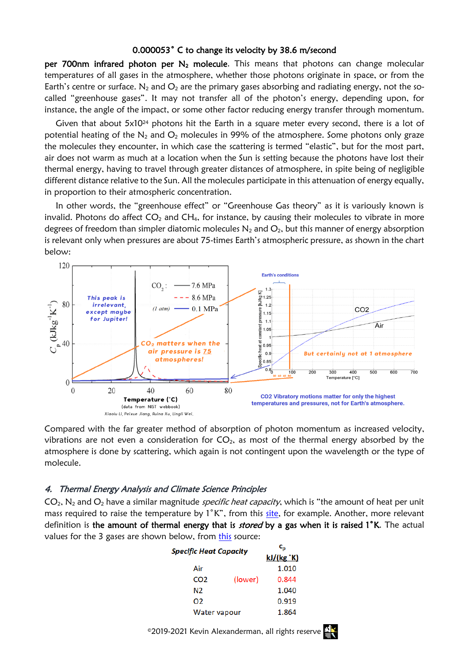#### 0.000053˚ C to change its velocity by 38.6 m/second

per 700nm infrared photon per  $N_2$  molecule. This means that photons can change molecular temperatures of all gases in the atmosphere, whether those photons originate in space, or from the Earth's centre or surface. N<sub>2</sub> and  $O_2$  are the primary gases absorbing and radiating energy, not the socalled "greenhouse gases". It may not transfer all of the photon's energy, depending upon, for instance, the angle of the impact, or some other factor reducing energy transfer through momentum.

Given that about  $5x10^{24}$  photons hit the Earth in a square meter every second, there is a lot of potential heating of the  $N_2$  and  $O_2$  molecules in 99% of the atmosphere. Some photons only graze the molecules they encounter, in which case the scattering is termed "elastic", but for the most part, air does not warm as much at a location when the Sun is setting because the photons have lost their thermal energy, having to travel through greater distances of atmosphere, in spite being of negligible different distance relative to the Sun. All the molecules participate in this attenuation of energy equally, in proportion to their atmospheric concentration.

In other words, the "greenhouse effect" or "Greenhouse Gas theory" as it is variously known is invalid. Photons do affect  $CO<sub>2</sub>$  and  $CH<sub>4</sub>$ , for instance, by causing their molecules to vibrate in more degrees of freedom than simpler diatomic molecules  $N_2$  and  $O_2$ , but this manner of energy absorption is relevant only when pressures are about 75-times Earth's atmospheric pressure, as shown in the chart below:



Compared with the far greater method of absorption of photon momentum as increased velocity, vibrations are not even a consideration for  $CO<sub>2</sub>$ , as most of the thermal energy absorbed by the atmosphere is done by scattering, which again is not contingent upon the wavelength or the type of molecule.

#### 4. Thermal Energy Analysis and Climate Science Principles

 $CO<sub>2</sub>$ , N<sub>2</sub> and  $O<sub>2</sub>$  have a similar magnitude *specific heat capacity*, which is "the amount of heat per unit mass required to raise the temperature by 1°K", from this [site,](http://hyperphysics.phy-astr.gsu.edu/hbase/thermo/spht.html) for example. Another, more relevant definition is the amount of thermal energy that is *stored* by a gas when it is raised 1<sup>°</sup>K. The actual values for the 3 gases are shown below, from [this](https://www.engineeringtoolbox.com/specific-heat-capacity-gases-d_159.html) source:

| <b>Specific Heat Capacity</b> |         | c,         |
|-------------------------------|---------|------------|
|                               |         | kJ/(kg °K) |
| Air                           |         | 1.010      |
| CO <sub>2</sub>               | (lower) | 0.844      |
| N2                            |         | 1.040      |
| 02                            |         | 0.919      |
| Water vapour                  |         | 1.864      |

©2019-2021 Kevin Alexanderman, all rights reserve

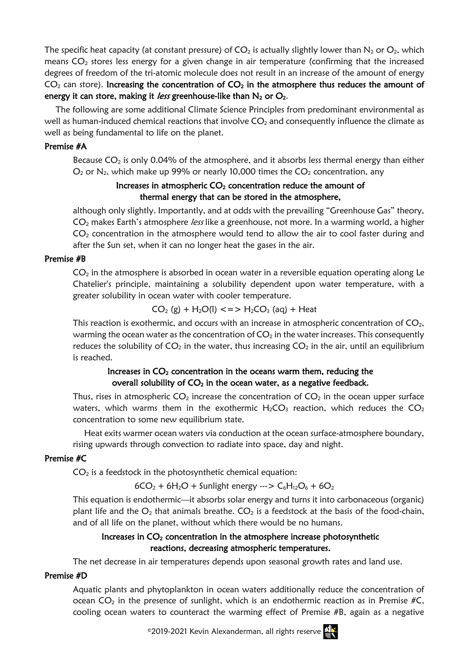The specific heat capacity (at constant pressure) of  $CO<sub>2</sub>$  is actually slightly lower than N<sub>2</sub> or  $O<sub>2</sub>$ , which means  $CO<sub>2</sub>$  stores less energy for a given change in air temperature (confirming that the increased degrees of freedom of the tri-atomic molecule does not result in an increase of the amount of energy  $CO<sub>2</sub>$  can store). Increasing the concentration of  $CO<sub>2</sub>$  in the atmosphere thus reduces the amount of energy it can store, making it *less* greenhouse-like than  $N_2$  or  $O_2$ .

The following are some additional Climate Science Principles from predominant environmental as well as human-induced chemical reactions that involve  $CO<sub>2</sub>$  and consequently influence the climate as well as being fundamental to life on the planet.

### Premise #A

Because  $CO<sub>2</sub>$  is only 0.04% of the atmosphere, and it absorbs less thermal energy than either  $O_2$  or  $N_2$ , which make up 99% or nearly 10,000 times the  $CO_2$  concentration, any

# Increases in atmospheric  $CO<sub>2</sub>$  concentration reduce the amount of thermal energy that can be stored in the atmosphere,

although only slightly. Importantly, and at odds with the prevailing "Greenhouse Gas" theory, CO<sub>2</sub> makes Earth's atmosphere *less* like a greenhouse, not more. In a warming world, a higher  $CO<sub>2</sub>$  concentration in the atmosphere would tend to allow the air to cool faster during and after the Sun set, when it can no longer heat the gases in the air.

### Premise #B

 $CO<sub>2</sub>$  in the atmosphere is absorbed in ocean water in a reversible equation operating along Le Chatelier's principle, maintaining a solubility dependent upon water temperature, with a greater solubility in ocean water with cooler temperature.

 $CO<sub>2</sub>$  (g) + H<sub>2</sub>O(l) <=> H<sub>2</sub>CO<sub>3</sub> (aq) + Heat

This reaction is exothermic, and occurs with an increase in atmospheric concentration of  $CO<sub>2</sub>$ , warming the ocean water as the concentration of  $CO<sub>2</sub>$  in the water increases. This consequently reduces the solubility of  $CO<sub>2</sub>$  in the water, thus increasing  $CO<sub>2</sub>$  in the air, until an equilibrium is reached.

# Increases in  $CO<sub>2</sub>$  concentration in the oceans warm them, reducing the overall solubility of  $CO<sub>2</sub>$  in the ocean water, as a negative feedback.

Thus, rises in atmospheric  $CO<sub>2</sub>$  increase the concentration of  $CO<sub>2</sub>$  in the ocean upper surface waters, which warms them in the exothermic  $H_2CO_3$  reaction, which reduces the  $CO_2$ concentration to some new equilibrium state.

Heat exits warmer ocean waters via conduction at the ocean surface-atmosphere boundary, rising upwards through convection to radiate into space, day and night.

# Premise #C

 $CO<sub>2</sub>$  is a feedstock in the photosynthetic chemical equation:

 $6CO_2 + 6H_2O +$  Sunlight energy --->  $C_6H_{12}O_6 + 6O_2$ 

This equation is endothermic—it absorbs solar energy and turns it into carbonaceous (organic) plant life and the  $O_2$  that animals breathe.  $CO_2$  is a feedstock at the basis of the food-chain, and of all life on the planet, without which there would be no humans.

# Increases in  $CO<sub>2</sub>$  concentration in the atmosphere increase photosynthetic reactions, decreasing atmospheric temperatures.

The net decrease in air temperatures depends upon seasonal growth rates and land use.

#### Premise #D

Aquatic plants and phytoplankton in ocean waters additionally reduce the concentration of ocean  $CO<sub>2</sub>$  in the presence of sunlight, which is an endothermic reaction as in Premise #C, cooling ocean waters to counteract the warming effect of Premise #B, again as a negative

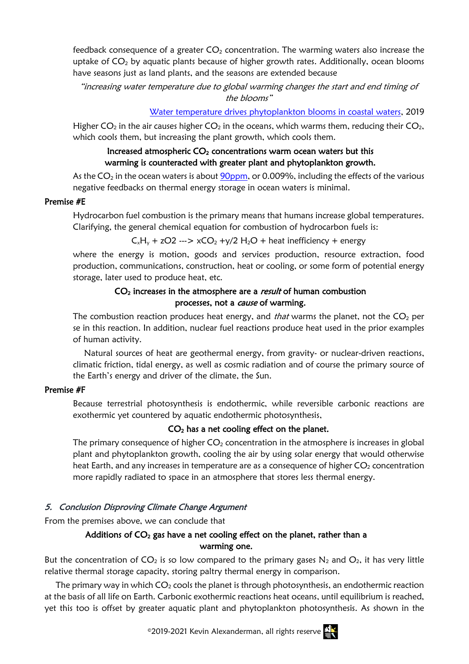feedback consequence of a greater  $CO<sub>2</sub>$  concentration. The warming waters also increase the uptake of  $CO<sub>2</sub>$  by aquatic plants because of higher growth rates. Additionally, ocean blooms have seasons just as land plants, and the seasons are extended because

"increasing water temperature due to global warming changes the start and end timing of the blooms"

[Water temperature drives phytoplankton blooms in coastal waters,](https://journals.plos.org/plosone/article?id=10.1371/journal.pone.0214933) 2019

Higher  $CO_2$  in the air causes higher  $CO_2$  in the oceans, which warms them, reducing their  $CO_2$ , which cools them, but increasing the plant growth, which cools them.

# Increased atmospheric  $CO<sub>2</sub>$  concentrations warm ocean waters but this warming is counteracted with greater plant and phytoplankton growth.

As the  $CO<sub>2</sub>$  in the ocean waters is about  $90$ ppm, or 0.009%, including the effects of the various negative feedbacks on thermal energy storage in ocean waters is minimal.

#### Premise #E

Hydrocarbon fuel combustion is the primary means that humans increase global temperatures. Clarifying, the general chemical equation for combustion of hydrocarbon fuels is:

### $C_xH_y + zO2$  --->  $xCO_2 + y/2$   $H_2O +$  heat inefficiency + energy

where the energy is motion, goods and services production, resource extraction, food production, communications, construction, heat or cooling, or some form of potential energy storage, later used to produce heat, etc.

### $CO<sub>2</sub>$  increases in the atmosphere are a *result* of human combustion processes, not a cause of warming.

The combustion reaction produces heat energy, and *that* warms the planet, not the  $CO<sub>2</sub>$  per se in this reaction. In addition, nuclear fuel reactions produce heat used in the prior examples of human activity.

Natural sources of heat are geothermal energy, from gravity- or nuclear-driven reactions, climatic friction, tidal energy, as well as cosmic radiation and of course the primary source of the Earth's energy and driver of the climate, the Sun.

# Premise #F

Because terrestrial photosynthesis is endothermic, while reversible carbonic reactions are exothermic yet countered by aquatic endothermic photosynthesis,

# CO2 has a net cooling effect on the planet.

The primary consequence of higher  $CO<sub>2</sub>$  concentration in the atmosphere is increases in global plant and phytoplankton growth, cooling the air by using solar energy that would otherwise heat Earth, and any increases in temperature are as a consequence of higher  $CO<sub>2</sub>$  concentration more rapidly radiated to space in an atmosphere that stores less thermal energy.

# 5. Conclusion Disproving Climate Change Argument

From the premises above, we can conclude that

# Additions of  $CO<sub>2</sub>$  gas have a net cooling effect on the planet, rather than a warming one.

But the concentration of  $CO<sub>2</sub>$  is so low compared to the primary gases N<sub>2</sub> and  $O<sub>2</sub>$ , it has very little relative thermal storage capacity, storing paltry thermal energy in comparison.

The primary way in which  $CO<sub>2</sub>$  cools the planet is through photosynthesis, an endothermic reaction at the basis of all life on Earth. Carbonic exothermic reactions heat oceans, until equilibrium is reached, yet this too is offset by greater aquatic plant and phytoplankton photosynthesis. As shown in the

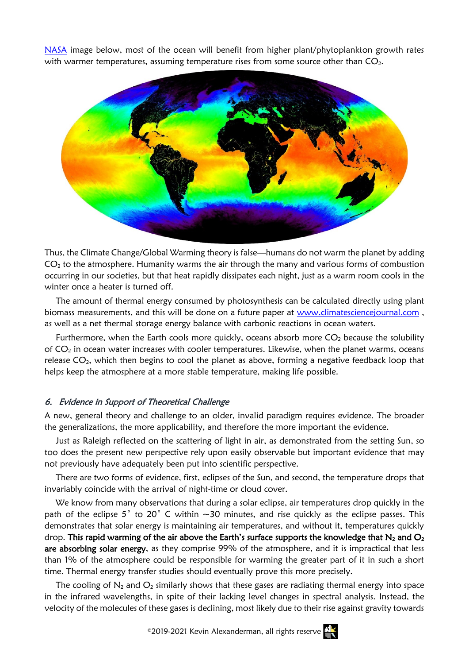[NASA](https://eoimages.gsfc.nasa.gov/images/imagerecords/1000/1869/modis_sst_200105_lrg.jpg) image below, most of the ocean will benefit from higher plant/phytoplankton growth rates with warmer temperatures, assuming temperature rises from some source other than  $CO<sub>2</sub>$ .



Thus, the Climate Change/Global Warming theory is false—humans do not warm the planet by adding  $CO<sub>2</sub>$  to the atmosphere. Humanity warms the air through the many and various forms of combustion occurring in our societies, but that heat rapidly dissipates each night, just as a warm room cools in the winter once a heater is turned off.

The amount of thermal energy consumed by photosynthesis can be calculated directly using plant biomass measurements, and this will be done on a future paper at [www.climatesciencejournal.com](http://www.climatesciencejournal.com/) , as well as a net thermal storage energy balance with carbonic reactions in ocean waters.

Furthermore, when the Earth cools more quickly, oceans absorb more  $CO<sub>2</sub>$  because the solubility of  $CO<sub>2</sub>$  in ocean water increases with cooler temperatures. Likewise, when the planet warms, oceans release  $CO<sub>2</sub>$ , which then begins to cool the planet as above, forming a negative feedback loop that helps keep the atmosphere at a more stable temperature, making life possible.

#### 6. Evidence in Support of Theoretical Challenge

A new, general theory and challenge to an older, invalid paradigm requires evidence. The broader the generalizations, the more applicability, and therefore the more important the evidence.

Just as Raleigh reflected on the scattering of light in air, as demonstrated from the setting Sun, so too does the present new perspective rely upon easily observable but important evidence that may not previously have adequately been put into scientific perspective.

There are two forms of evidence, first, eclipses of the Sun, and second, the temperature drops that invariably coincide with the arrival of night-time or cloud cover.

We know from many observations that during a solar eclipse, air temperatures drop quickly in the path of the eclipse 5° to 20° C within  $\sim$ 30 minutes, and rise quickly as the eclipse passes. This demonstrates that solar energy is maintaining air temperatures, and without it, temperatures quickly drop. This rapid warming of the air above the Earth's surface supports the knowledge that  $N_2$  and  $O_2$ are absorbing solar energy, as they comprise 99% of the atmosphere, and it is impractical that less than 1% of the atmosphere could be responsible for warming the greater part of it in such a short time. Thermal energy transfer studies should eventually prove this more precisely.

The cooling of  $N_2$  and  $O_2$  similarly shows that these gases are radiating thermal energy into space in the infrared wavelengths, in spite of their lacking level changes in spectral analysis. Instead, the velocity of the molecules of these gases is declining, most likely due to their rise against gravity towards

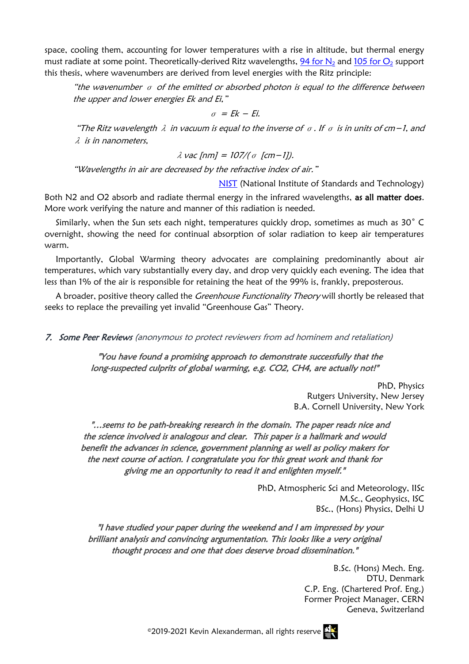space, cooling them, accounting for lower temperatures with a rise in altitude, but thermal energy must radiate at some point. Theoretically-derived Ritz wavelengths, 94 for  $N_2$  and 105 for  $O_2$  support this thesis, where wavenumbers are derived from level energies with the Ritz principle:

"the wavenumber  $\sigma$  of the emitted or absorbed photon is equal to the difference between the upper and lower energies Ek and Ei,"

 $\sigma$  = Ek – Ei.

"The Ritz wavelength  $\lambda$  in vacuum is equal to the inverse of  $\sigma$ . If  $\sigma$  is in units of cm−1, and λ is in nanometers,

$$
\lambda \text{ vac [nm]} = 107/(\sigma \text{ [cm-1]}).
$$

"Wavelengths in air are decreased by the refractive index of air."

[NIST](https://physics.nist.gov/PhysRefData/ASD/Html/lineshelp.html) (National Institute of Standards and Technology)

Both N2 and O2 absorb and radiate thermal energy in the infrared wavelengths, as all matter does. More work verifying the nature and manner of this radiation is needed.

Similarly, when the Sun sets each night, temperatures quickly drop, sometimes as much as 30˚ C overnight, showing the need for continual absorption of solar radiation to keep air temperatures warm.

Importantly, Global Warming theory advocates are complaining predominantly about air temperatures, which vary substantially every day, and drop very quickly each evening. The idea that less than 1% of the air is responsible for retaining the heat of the 99% is, frankly, preposterous.

A broader, positive theory called the *Greenhouse Functionality Theory* will shortly be released that seeks to replace the prevailing yet invalid "Greenhouse Gas" Theory.

7. Some Peer Reviews (anonymous to protect reviewers from ad hominem and retaliation)

"You have found a promising approach to demonstrate successfully that the long-suspected culprits of global warming, e.g. CO2, CH4, are actually not!"

> PhD, Physics Rutgers University, New Jersey B.A. Cornell University, New York

"…seems to be path-breaking research in the domain. The paper reads nice and the science involved is analogous and clear. This paper is a hallmark and would benefit the advances in science, government planning as well as policy makers for the next course of action. I congratulate you for this great work and thank for giving me an opportunity to read it and enlighten myself."

> PhD, Atmospheric Sci and Meteorology, IISc M.Sc., Geophysics, ISC BSc., (Hons) Physics, Delhi U

"I have studied your paper during the weekend and I am impressed by your brilliant analysis and convincing argumentation. This looks like a very original thought process and one that does deserve broad dissemination."

> B.Sc. (Hons) Mech. Eng. DTU, Denmark C.P. Eng. (Chartered Prof. Eng.) Former Project Manager, CERN Geneva, Switzerland



©2019-2021 Kevin Alexanderman, all rights reserve  $\mathbb{N}$